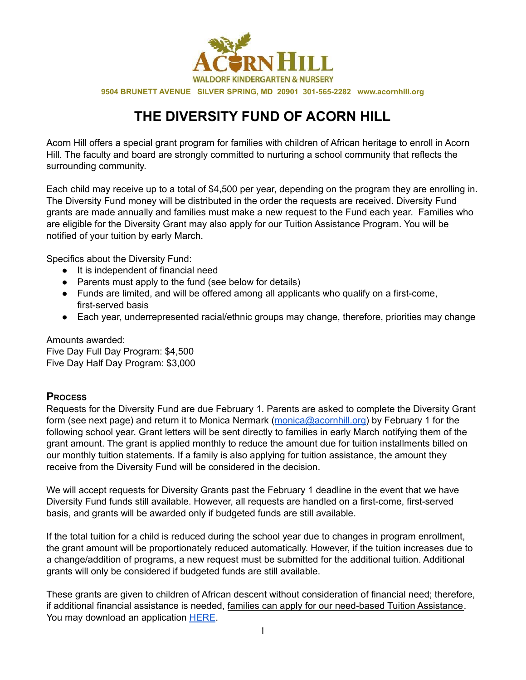

**9504 BRUNETT AVENUE SILVER SPRING, MD 20901 301-565-2282 www.acornhill.org**

## **THE DIVERSITY FUND OF ACORN HILL**

Acorn Hill offers a special grant program for families with children of African heritage to enroll in Acorn Hill. The faculty and board are strongly committed to nurturing a school community that reflects the surrounding community.

Each child may receive up to a total of \$4,500 per year, depending on the program they are enrolling in. The Diversity Fund money will be distributed in the order the requests are received. Diversity Fund grants are made annually and families must make a new request to the Fund each year. Families who are eligible for the Diversity Grant may also apply for our Tuition Assistance Program. You will be notified of your tuition by early March.

Specifics about the Diversity Fund:

- It is independent of financial need
- Parents must apply to the fund (see below for details)
- Funds are limited, and will be offered among all applicants who qualify on a first-come, first-served basis
- Each year, underrepresented racial/ethnic groups may change, therefore, priorities may change

Amounts awarded: Five Day Full Day Program: \$4,500 Five Day Half Day Program: \$3,000

## **PROCESS**

Requests for the Diversity Fund are due February 1. Parents are asked to complete the Diversity Grant form (see next page) and return it to Monica Nermark (monica@acornhill.org) by February 1 for the following school year. Grant letters will be sent directly to families in early March notifying them of the grant amount. The grant is applied monthly to reduce the amount due for tuition installments billed on our monthly tuition statements. If a family is also applying for tuition assistance, the amount they receive from the Diversity Fund will be considered in the decision.

We will accept requests for Diversity Grants past the February 1 deadline in the event that we have Diversity Fund funds still available. However, all requests are handled on a first-come, first-served basis, and grants will be awarded only if budgeted funds are still available.

If the total tuition for a child is reduced during the school year due to changes in program enrollment, the grant amount will be proportionately reduced automatically. However, if the tuition increases due to a change/addition of programs, a new request must be submitted for the additional tuition. Additional grants will only be considered if budgeted funds are still available.

These grants are given to children of African descent without consideration of financial need; therefore, if additional financial assistance is needed, families can apply for our need-based Tuition Assistance. You may download an application HERE.